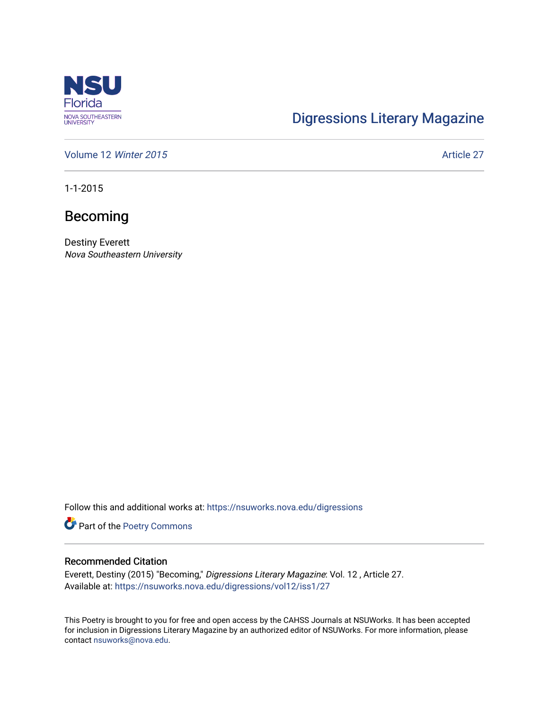

# [Digressions Literary Magazine](https://nsuworks.nova.edu/digressions)

[Volume 12](https://nsuworks.nova.edu/digressions/vol12) Winter 2015 **Article 27** Article 27

1-1-2015

## Becoming

Destiny Everett Nova Southeastern University

Follow this and additional works at: [https://nsuworks.nova.edu/digressions](https://nsuworks.nova.edu/digressions?utm_source=nsuworks.nova.edu%2Fdigressions%2Fvol12%2Fiss1%2F27&utm_medium=PDF&utm_campaign=PDFCoverPages) 

Part of the [Poetry Commons](http://network.bepress.com/hgg/discipline/1153?utm_source=nsuworks.nova.edu%2Fdigressions%2Fvol12%2Fiss1%2F27&utm_medium=PDF&utm_campaign=PDFCoverPages) 

#### Recommended Citation

Everett, Destiny (2015) "Becoming," Digressions Literary Magazine: Vol. 12 , Article 27. Available at: [https://nsuworks.nova.edu/digressions/vol12/iss1/27](https://nsuworks.nova.edu/digressions/vol12/iss1/27?utm_source=nsuworks.nova.edu%2Fdigressions%2Fvol12%2Fiss1%2F27&utm_medium=PDF&utm_campaign=PDFCoverPages)

This Poetry is brought to you for free and open access by the CAHSS Journals at NSUWorks. It has been accepted for inclusion in Digressions Literary Magazine by an authorized editor of NSUWorks. For more information, please contact [nsuworks@nova.edu.](mailto:nsuworks@nova.edu)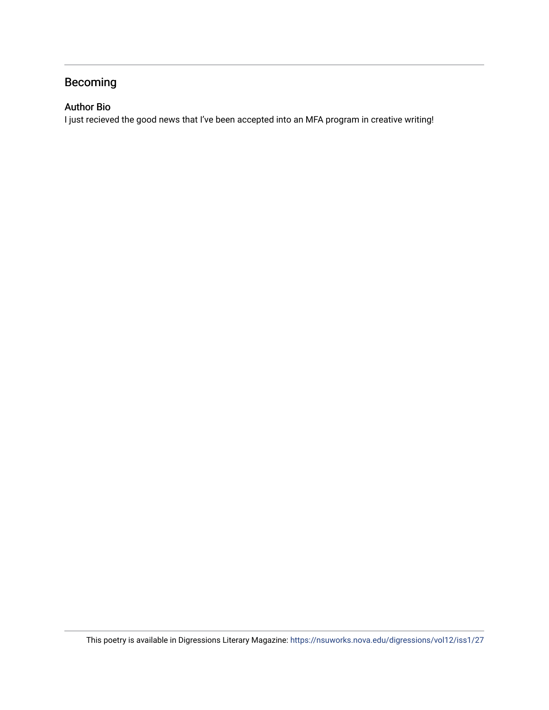### Becoming

#### Author Bio

I just recieved the good news that I've been accepted into an MFA program in creative writing!